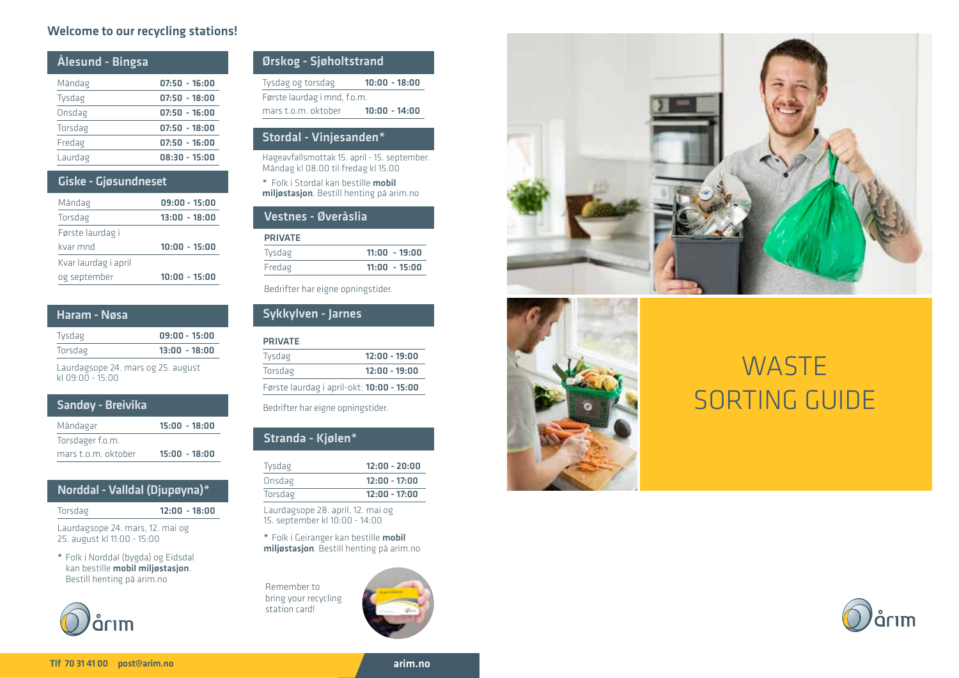### Welcome to our recycling stations!

| Ålesund - Bingsa |                 |
|------------------|-----------------|
| Måndag           | $07:50 - 16:00$ |
| Tysdag           | $07:50 - 18:00$ |
| Onsdag           | $07:50 - 16:00$ |
| Torsdag          | $07:50 - 18:00$ |
| Fredag           | $07:50 - 16:00$ |
| Laurdag          | $08:30 - 15:00$ |
|                  |                 |

# Giske - Gjøsundneset

| Måndag               | $09:00 - 15:00$ |
|----------------------|-----------------|
| Torsdag              | $13:00 - 18:00$ |
| Første laurdag i     |                 |
| kvar mnd             | $10:00 - 15:00$ |
| Kvar laurdag i april |                 |
| og september         | $10:00 - 15:00$ |

| Haram - Nøsa |
|--------------|
|--------------|

| Tysdag  | $09:00 - 15:00$ |
|---------|-----------------|
| Torsdag | $13:00 - 18:00$ |

Laurdagsope 24. mars og 25. august kl 09:00 - 15:00

# Sandøy - Breivika

| Måndagar            | $15:00 - 18:00$ |
|---------------------|-----------------|
| Torsdager f.o.m.    |                 |
| mars t.o.m. oktober | $15:00 - 18:00$ |

# Norddal - Valldal (Djupøyna)\*

Torsdag 12:00 - 18:00

Laurdagsope 24. mars, 12. mai og 25. august kl 11:00 - 15:00

\* Folk i Norddal (bygda) og Eidsdal kan bestille mobil miljøstasjon. Bestill henting på arim.no



| Ørskog - Sjøholtstrand       |                 |
|------------------------------|-----------------|
| Tysdag og torsdag            | $10:00 - 18:00$ |
| Første laurdag i mnd, f.o.m. |                 |
| mars t.o.m. oktober          | $10:00 - 14:00$ |
|                              |                 |

### Stordal - Vinjesanden\*

Hageavfallsmottak 15. april - 15. september. Måndag kl 08.00 til fredag kl 15.00

\* Folk i Stordal kan bestille mobil miljøstasjon. Bestill henting på arim.no

## Vestnes - Øveråslia

| <b>PRIVATE</b> |                 |
|----------------|-----------------|
| Tysdag         | $11:00 - 19:00$ |
| Fredag         | $11:00 - 15:00$ |
|                |                 |

Bedrifter har eigne opningstider.

# Sykkylven - Jarnes

# PRIVATE

| Tysdag  | $12:00 - 19:00$                           |
|---------|-------------------------------------------|
| Torsdag | $12:00 - 19:00$                           |
|         | Første laurdag i april-okt: 10:00 - 15:00 |

Bedrifter har eigne opningstider.

# Stranda - Kjølen\*

| Tysdag  | $12:00 - 20:00$ |
|---------|-----------------|
| Onsdag  | $12:00 - 17:00$ |
| Torsdag | $12:00 - 17:00$ |

Laurdagsope 28. april, 12. mai og 15. september kl 10:00 - 14:00

\* Folk i Geiranger kan bestille mobil miljøstasjon. Bestill henting på arim.no

Remember to bring your recycling station card!







# **WASTE** SORTING GUIDE



arim.no